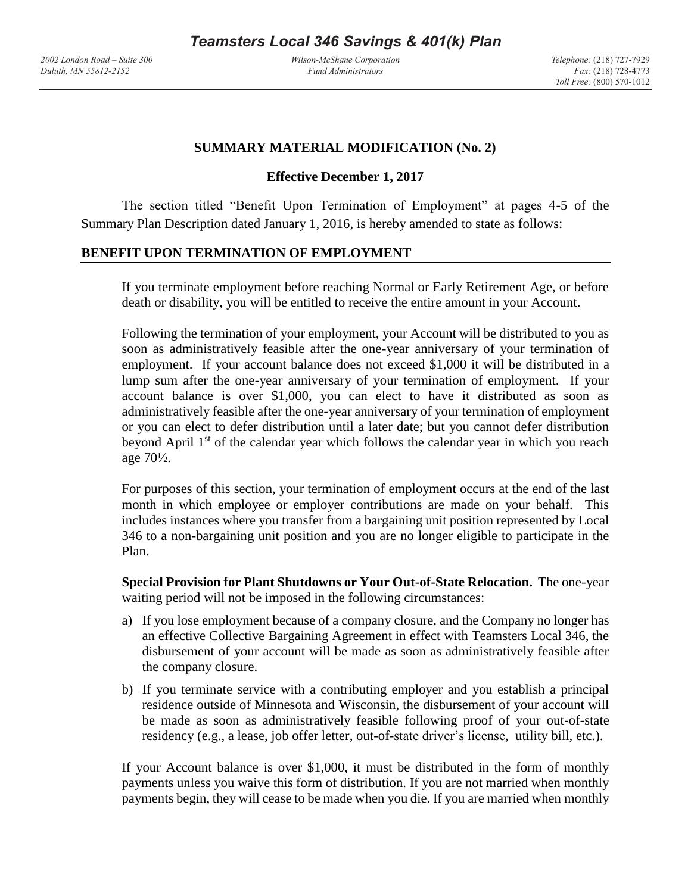*Wilson-McShane Corporation Fund Administrators*

## **SUMMARY MATERIAL MODIFICATION (No. 2)**

## **Effective December 1, 2017**

The section titled "Benefit Upon Termination of Employment" at pages 4-5 of the Summary Plan Description dated January 1, 2016, is hereby amended to state as follows:

## **BENEFIT UPON TERMINATION OF EMPLOYMENT**

If you terminate employment before reaching Normal or Early Retirement Age, or before death or disability, you will be entitled to receive the entire amount in your Account.

Following the termination of your employment, your Account will be distributed to you as soon as administratively feasible after the one-year anniversary of your termination of employment. If your account balance does not exceed \$1,000 it will be distributed in a lump sum after the one-year anniversary of your termination of employment. If your account balance is over \$1,000, you can elect to have it distributed as soon as administratively feasible after the one-year anniversary of your termination of employment or you can elect to defer distribution until a later date; but you cannot defer distribution beyond April 1<sup>st</sup> of the calendar year which follows the calendar year in which you reach age 70½.

For purposes of this section, your termination of employment occurs at the end of the last month in which employee or employer contributions are made on your behalf. This includes instances where you transfer from a bargaining unit position represented by Local 346 to a non-bargaining unit position and you are no longer eligible to participate in the Plan.

**Special Provision for Plant Shutdowns or Your Out-of-State Relocation.** The one-year waiting period will not be imposed in the following circumstances:

- a) If you lose employment because of a company closure, and the Company no longer has an effective Collective Bargaining Agreement in effect with Teamsters Local 346, the disbursement of your account will be made as soon as administratively feasible after the company closure.
- b) If you terminate service with a contributing employer and you establish a principal residence outside of Minnesota and Wisconsin, the disbursement of your account will be made as soon as administratively feasible following proof of your out-of-state residency (e.g., a lease, job offer letter, out-of-state driver's license, utility bill, etc.).

If your Account balance is over \$1,000, it must be distributed in the form of monthly payments unless you waive this form of distribution. If you are not married when monthly payments begin, they will cease to be made when you die. If you are married when monthly